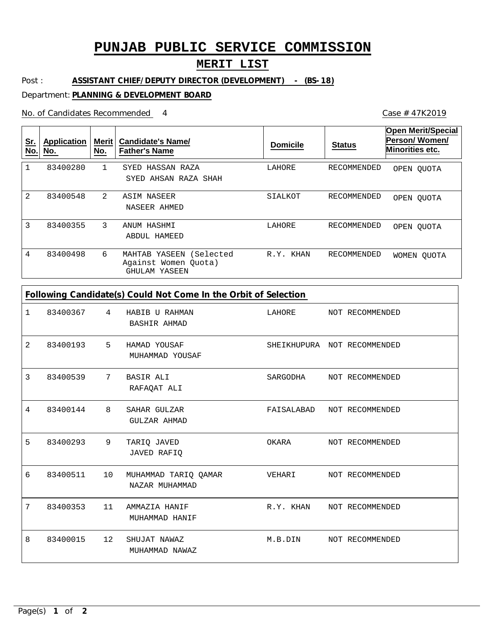# **PUNJAB PUBLIC SERVICE COMMISSION**

## **MERIT LIST**

Post : **ASSISTANT CHIEF/DEPUTY DIRECTOR (DEVELOPMENT) - (BS-18)**

#### Department: **PLANNING & DEVELOPMENT BOARD**

No. of Candidates Recommended

| <u>Sr.</u><br>No. | <b>Application</b><br>No. | Merit $ $<br>No. | <b>Candidate's Name/</b><br><b>Father's Name</b>                       | <b>Domicile</b> | <b>Status</b> | <b>Open Merit/Special</b><br>Person/Women/<br>Minorities etc. |
|-------------------|---------------------------|------------------|------------------------------------------------------------------------|-----------------|---------------|---------------------------------------------------------------|
|                   | 83400280                  |                  | HASSAN RAZA<br>SYED<br>SYED AHSAN RAZA SHAH                            | LAHORE          | RECOMMENDED   | OPEN OUOTA                                                    |
| 2                 | 83400548                  | $\mathcal{L}$    | ASIM NASEER<br>NASEER AHMED                                            | SIALKOT         | RECOMMENDED   | OPEN OUOTA                                                    |
| 3                 | 83400355                  | 3                | ANUM HASHMI<br>ABDUL HAMEED                                            | LAHORE          | RECOMMENDED   | OPEN OUOTA                                                    |
| 4                 | 83400498                  | 6                | YASEEN<br>(Selected<br>MAHTAB<br>Against Women Quota)<br>GHULAM YASEEN | R.Y. KHAN       | RECOMMENDED   | WOMEN OUOTA                                                   |

| 1 | 83400367 | $4\overline{ }$ | HABIB U RAHMAN<br>BASHIR AHMAD         | LAHORE NOT RECOMMENDED    |                             |
|---|----------|-----------------|----------------------------------------|---------------------------|-----------------------------|
| 2 | 83400193 | 5               | HAMAD YOUSAF<br>MUHAMMAD YOUSAF        |                           | SHEIKHUPURA NOT RECOMMENDED |
| 3 | 83400539 | 7               | <b>BASIR ALI</b><br>RAFAQAT ALI        | SARGODHA                  | NOT RECOMMENDED             |
| 4 | 83400144 | 8               | SAHAR GULZAR<br>GULZAR AHMAD           | FAISALABAD                | NOT RECOMMENDED             |
| 5 | 83400293 | 9               | TARIO JAVED<br><b>JAVED RAFIQ</b>      | OKARA                     | NOT RECOMMENDED             |
| 6 | 83400511 | 10              | MUHAMMAD TARIQ QAMAR<br>NAZAR MUHAMMAD | VEHARI                    | NOT RECOMMENDED             |
| 7 | 83400353 | 11              | AMMAZIA HANIF<br>MUHAMMAD HANIF        | R.Y. KHAN NOT RECOMMENDED |                             |
| 8 | 83400015 | 12              | SHUJAT NAWAZ<br>MUHAMMAD NAWAZ         | M.B.DIN                   | NOT RECOMMENDED             |

Case # 47K2019